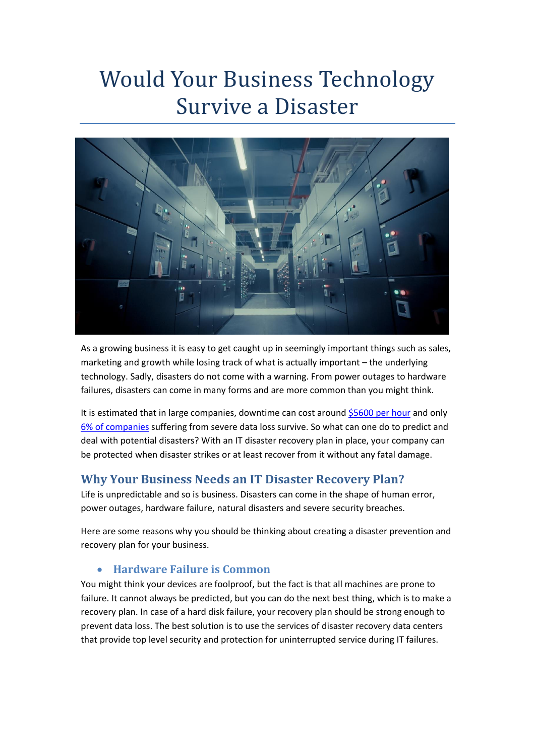# Would Your Business Technology Survive a Disaster



As a growing business it is easy to get caught up in seemingly important things such as sales, marketing and growth while losing track of what is actually important – the underlying technology. Sadly, disasters do not come with a warning. From power outages to hardware failures, disasters can come in many forms and are more common than you might think.

It is estimated that in large companies, downtime can cost around [\\$5600 per hour](https://blogs.gartner.com/andrew-lerner/2014/07/16/the-cost-of-downtime/) and only [6% of companies](https://www.bloomberg.com/news/articles/2007-09-02/data-lost-data-found) suffering from severe data loss survive. So what can one do to predict and deal with potential disasters? With an IT disaster recovery plan in place, your company can be protected when disaster strikes or at least recover from it without any fatal damage.

# **Why Your Business Needs an IT Disaster Recovery Plan?**

Life is unpredictable and so is business. Disasters can come in the shape of human error, power outages, hardware failure, natural disasters and severe security breaches.

Here are some reasons why you should be thinking about creating a disaster prevention and recovery plan for your business.

## • **Hardware Failure is Common**

You might think your devices are foolproof, but the fact is that all machines are prone to failure. It cannot always be predicted, but you can do the next best thing, which is to make a recovery plan. In case of a hard disk failure, your recovery plan should be strong enough to prevent data loss. The best solution is to use the services of disaster recovery data centers that provide top level security and protection for uninterrupted service during IT failures.